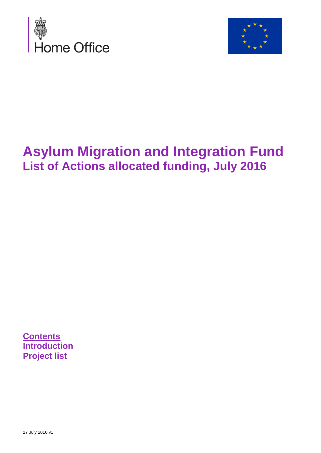



## **Asylum Migration and Integration Fund List of Actions allocated funding, July 2016**

**Contents Introduction Project list**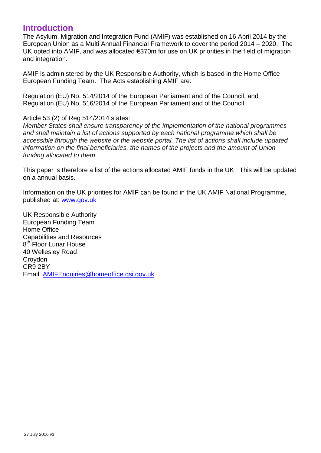## **Introduction**

The Asylum, Migration and Integration Fund (AMIF) was established on 16 April 2014 by the European Union as a Multi Annual Financial Framework to cover the period 2014 – 2020. The UK opted into AMIF, and was allocated €370m for use on UK priorities in the field of migration and integration.

AMIF is administered by the UK Responsible Authority, which is based in the Home Office European Funding Team. The Acts establishing AMIF are:

Regulation (EU) No. 514/2014 of the European Parliament and of the Council, and Regulation (EU) No. 516/2014 of the European Parliament and of the Council

Article 53 (2) of Reg 514/2014 states:

*Member States shall ensure transparency of the implementation of the national programmes and shall maintain a list of actions supported by each national programme which shall be accessible through the website or the website portal. The list of actions shall include updated information on the final beneficiaries, the names of the projects and the amount of Union funding allocated to them.*

This paper is therefore a list of the actions allocated AMIF funds in the UK. This will be updated on a annual basis.

Information on the UK priorities for AMIF can be found in the UK AMIF National Programme, published at: [www.gov.uk](http://www.gov.uk/)

UK Responsible Authority European Funding Team Home Office Capabilities and Resources 8<sup>th</sup> Floor Lunar House 40 Wellesley Road Croydon CR9 2BY Email: [AMIFEnquiries@homeoffice.gsi.gov.uk](mailto:AMIFEnquiries@homeoffice.gsi.gov.uk)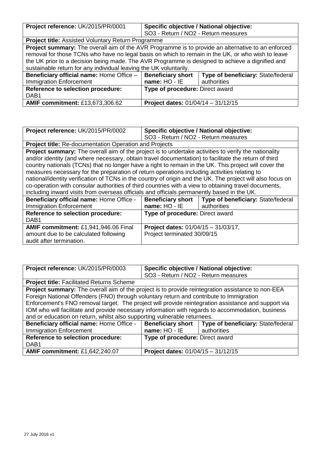| Project reference: UK/2015/PR/0001                                                                | Specific objective / National objective:                                                        |                                    |  |
|---------------------------------------------------------------------------------------------------|-------------------------------------------------------------------------------------------------|------------------------------------|--|
|                                                                                                   | SO3 - Return / NO2 - Return measures                                                            |                                    |  |
| <b>Project title: Assisted Voluntary Return Programme</b>                                         |                                                                                                 |                                    |  |
| Project summary: The overall aim of the AVR Programme is to provide an alternative to an enforced |                                                                                                 |                                    |  |
| removal for those TCNs who have no legal basis on which to remain in the UK, or who wish to leave |                                                                                                 |                                    |  |
|                                                                                                   | the UK prior to a decision being made. The AVR Programme is designed to achieve a dignified and |                                    |  |
| sustainable return for any individual leaving the UK voluntarily.                                 |                                                                                                 |                                    |  |
| Beneficiary official name: Home Office -                                                          | <b>Beneficiary short</b>                                                                        | Type of beneficiary: State/federal |  |
| <b>Immigration Enforcement</b>                                                                    | name: HO - IE                                                                                   | authorities                        |  |
| Reference to selection procedure:                                                                 | Type of procedure: Direct award                                                                 |                                    |  |
| DAB1                                                                                              |                                                                                                 |                                    |  |
| <b>AMIF commitment: £13,673,306.62</b>                                                            | Project dates: 01/04/14 - 31/12/15                                                              |                                    |  |

| Project reference: UK/2015/PR/0002                                                                          | Specific objective / National objective:   |                                           |  |
|-------------------------------------------------------------------------------------------------------------|--------------------------------------------|-------------------------------------------|--|
|                                                                                                             | SO3 - Return / NO2 - Return measures       |                                           |  |
| <b>Project title:</b> Re-documentation Operation and Projects                                               |                                            |                                           |  |
| <b>Project summary:</b> The overall aim of the project is to undertake activities to verify the nationality |                                            |                                           |  |
| and/or identity (and where necessary, obtain travel documentation) to facilitate the return of third        |                                            |                                           |  |
| country nationals (TCNs) that no longer have a right to remain in the UK. This project will cover the       |                                            |                                           |  |
| measures necessary for the preparation of return operations including activities relating to                |                                            |                                           |  |
| national/identity verification of TCNs in the country of origin and the UK. The project will also focus on  |                                            |                                           |  |
| co-operation with consular authorities of third countries with a view to obtaining travel documents,        |                                            |                                           |  |
| including inward visits from overseas officials and officials permanently based in the UK.                  |                                            |                                           |  |
| Beneficiary official name: Home Office -                                                                    | <b>Beneficiary short</b>                   | <b>Type of beneficiary: State/federal</b> |  |
| <b>Immigration Enforcement</b>                                                                              | name: HO - IE                              | authorities                               |  |
| Reference to selection procedure:                                                                           | Type of procedure: Direct award            |                                           |  |
| DAB <sub>1</sub>                                                                                            |                                            |                                           |  |
| <b>AMIF commitment: £1,941,946.06 Final</b>                                                                 | <b>Project dates: 01/04/15 - 31/03/17,</b> |                                           |  |

Project terminated 30/09/15

| Project reference: UK/2015/PR/0003                                                                  | Specific objective / National objective:                                                                 |                                    |  |
|-----------------------------------------------------------------------------------------------------|----------------------------------------------------------------------------------------------------------|------------------------------------|--|
|                                                                                                     | SO3 - Return / NO2 - Return measures                                                                     |                                    |  |
| <b>Project title: Facilitated Returns Scheme</b>                                                    |                                                                                                          |                                    |  |
|                                                                                                     | <b>Project summary:</b> The overall aim of the project is to provide reintegration assistance to non-EEA |                                    |  |
| Foreign National Offenders (FNO) through voluntary return and contribute to Immigration             |                                                                                                          |                                    |  |
| Enforcement's FNO removal target. The project will provide reintegration assistance and support via |                                                                                                          |                                    |  |
| IOM who will facilitate and provide necessary information with regards to accommodation, business   |                                                                                                          |                                    |  |
| and or education on return, whilst also supporting vulnerable returnees.                            |                                                                                                          |                                    |  |
| Beneficiary official name: Home Office -                                                            | <b>Beneficiary short</b>                                                                                 | Type of beneficiary: State/federal |  |
| <b>Immigration Enforcement</b>                                                                      | name: HO - IE                                                                                            | authorities                        |  |
| Reference to selection procedure:                                                                   | Type of procedure: Direct award                                                                          |                                    |  |
| DAB <sub>1</sub>                                                                                    |                                                                                                          |                                    |  |
| <b>AMIF commitment: £1,642,240.07</b>                                                               | Project dates: 01/04/15 - 31/12/15                                                                       |                                    |  |

amount due to be calculated following

audit after termination.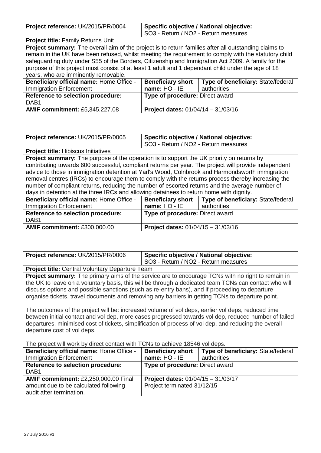| Project reference: UK/2015/PR/0004                                                                           | Specific objective / National objective:  |                                    |
|--------------------------------------------------------------------------------------------------------------|-------------------------------------------|------------------------------------|
|                                                                                                              | SO3 - Return / NO2 - Return measures      |                                    |
| <b>Project title: Family Returns Unit</b>                                                                    |                                           |                                    |
| <b>Project summary:</b> The overall aim of the project is to return families after all outstanding claims to |                                           |                                    |
| remain in the UK have been refused, whilst meeting the requirement to comply with the statutory child        |                                           |                                    |
| safeguarding duty under S55 of the Borders, Citizenship and Immigration Act 2009. A family for the           |                                           |                                    |
| purpose of this project must consist of at least 1 adult and 1 dependant child under the age of 18           |                                           |                                    |
| years, who are imminently removable.                                                                         |                                           |                                    |
| Beneficiary official name: Home Office -                                                                     | <b>Beneficiary short</b>                  | Type of beneficiary: State/federal |
| <b>Immigration Enforcement</b>                                                                               | name: HO - IE                             | authorities                        |
| Reference to selection procedure:<br>Type of procedure: Direct award                                         |                                           |                                    |
| DAB <sub>1</sub>                                                                                             |                                           |                                    |
| <b>AMIF commitment: £5,345,227.08</b>                                                                        | <b>Project dates: 01/04/14 - 31/03/16</b> |                                    |

| Project reference: UK/2015/PR/0005                                                                    |                                      | Specific objective / National objective: |
|-------------------------------------------------------------------------------------------------------|--------------------------------------|------------------------------------------|
|                                                                                                       | SO3 - Return / NO2 - Return measures |                                          |
| <b>Project title: Hibiscus Initiatives</b>                                                            |                                      |                                          |
| Project summary: The purpose of the operation is to support the UK priority on returns by             |                                      |                                          |
| contributing towards 600 successful, compliant returns per year. The project will provide independent |                                      |                                          |
| advice to those in immigration detention at Yarl's Wood, Colnbrook and Harmondsworth immigration      |                                      |                                          |
| removal centres (IRCs) to encourage them to comply with the returns process thereby increasing the    |                                      |                                          |
| number of compliant returns, reducing the number of escorted returns and the average number of        |                                      |                                          |
| days in detention at the three IRCs and allowing detainees to return home with dignity.               |                                      |                                          |
| Beneficiary official name: Home Office -                                                              | <b>Beneficiary short</b>             | Type of beneficiary: State/federal       |
| <b>Immigration Enforcement</b>                                                                        | name: HO - IE                        | authorities                              |
| Reference to selection procedure:                                                                     | Type of procedure: Direct award      |                                          |
| $\mathsf{DAD4}$                                                                                       |                                      |                                          |

| DAB <sub>1</sub>                    |                                    |
|-------------------------------------|------------------------------------|
| <b>AMIF commitment: £300,000.00</b> | Project dates: 01/04/15 - 31/03/16 |

| Project reference: UK/2015/PR/0006                                                                                                                                                                                                                                                                                                                                                                                                | Specific objective / National objective:  |                                    |
|-----------------------------------------------------------------------------------------------------------------------------------------------------------------------------------------------------------------------------------------------------------------------------------------------------------------------------------------------------------------------------------------------------------------------------------|-------------------------------------------|------------------------------------|
|                                                                                                                                                                                                                                                                                                                                                                                                                                   | SO3 - Return / NO2 - Return measures      |                                    |
| Project title: Central Voluntary Departure Team                                                                                                                                                                                                                                                                                                                                                                                   |                                           |                                    |
| <b>Project summary:</b> The primary aims of the service are to encourage TCNs with no right to remain in<br>the UK to leave on a voluntary basis, this will be through a dedicated team TCNs can contact who will<br>discuss options and possible sanctions (such as re-entry bans), and if proceeding to departure<br>organise tickets, travel documents and removing any barriers in getting TCNs to departure point.           |                                           |                                    |
| The outcomes of the project will be: increased volume of vol deps, earlier vol deps, reduced time<br>between initial contact and vol dep, more cases progressed towards vol dep, reduced number of failed<br>departures, minimised cost of tickets, simplification of process of vol dep, and reducing the overall<br>departure cost of vol deps.<br>The project will work by direct contact with TCNs to achieve 18546 vol deps. |                                           |                                    |
| Beneficiary official name: Home Office -                                                                                                                                                                                                                                                                                                                                                                                          | <b>Beneficiary short</b>                  | Type of beneficiary: State/federal |
| <b>Immigration Enforcement</b>                                                                                                                                                                                                                                                                                                                                                                                                    | name: $HO - IE$                           | authorities                        |
| Type of procedure: Direct award<br>Reference to selection procedure:<br>DAB <sub>1</sub>                                                                                                                                                                                                                                                                                                                                          |                                           |                                    |
| AMIF commitment: £2,250,000.00 Final                                                                                                                                                                                                                                                                                                                                                                                              | <b>Project dates: 01/04/15 - 31/03/17</b> |                                    |
| amount due to be calculated following<br>audit after termination.                                                                                                                                                                                                                                                                                                                                                                 | Project terminated 31/12/15               |                                    |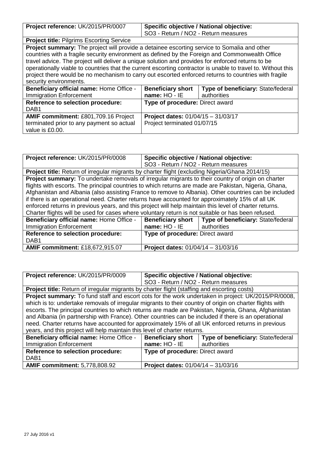| Project reference: UK/2015/PR/0007                                                                                                                                                                                                                                                                                                                                                                                                                                                                                                                           | Specific objective / National objective:                                                       |  |  |
|--------------------------------------------------------------------------------------------------------------------------------------------------------------------------------------------------------------------------------------------------------------------------------------------------------------------------------------------------------------------------------------------------------------------------------------------------------------------------------------------------------------------------------------------------------------|------------------------------------------------------------------------------------------------|--|--|
|                                                                                                                                                                                                                                                                                                                                                                                                                                                                                                                                                              | SO3 - Return / NO2 - Return measures                                                           |  |  |
| <b>Project title: Pilgrims Escorting Service</b>                                                                                                                                                                                                                                                                                                                                                                                                                                                                                                             |                                                                                                |  |  |
| <b>Project summary:</b> The project will provide a detainee escorting service to Somalia and other<br>countries with a fragile security environment as defined by the Foreign and Commonwealth Office<br>travel advice. The project will deliver a unique solution and provides for enforced returns to be<br>operationally viable to countries that the current escorting contractor is unable to travel to. Without this<br>project there would be no mechanism to carry out escorted enforced returns to countries with fragile<br>security environments. |                                                                                                |  |  |
| Beneficiary official name: Home Office -<br><b>Immigration Enforcement</b>                                                                                                                                                                                                                                                                                                                                                                                                                                                                                   | <b>Beneficiary short</b><br>Type of beneficiary: State/federal<br>name: HO - IE<br>authorities |  |  |
| Reference to selection procedure:<br>DAB <sub>1</sub>                                                                                                                                                                                                                                                                                                                                                                                                                                                                                                        | Type of procedure: Direct award                                                                |  |  |
| AMIF commitment: £801,709.16 Project<br>terminated prior to any payment so actual                                                                                                                                                                                                                                                                                                                                                                                                                                                                            | <b>Project dates: 01/04/15 - 31/03/17</b><br>Project terminated 01/07/15                       |  |  |
| value is £0.00.                                                                                                                                                                                                                                                                                                                                                                                                                                                                                                                                              |                                                                                                |  |  |

| Project reference: UK/2015/PR/0008                                                                     | Specific objective / National objective:  |                                    |
|--------------------------------------------------------------------------------------------------------|-------------------------------------------|------------------------------------|
|                                                                                                        | SO3 - Return / NO2 - Return measures      |                                    |
| <b>Project title:</b> Return of irregular migrants by charter flight (excluding Nigeria/Ghana 2014/15) |                                           |                                    |
| Project summary: To undertake removals of irregular migrants to their country of origin on charter     |                                           |                                    |
| flights with escorts. The principal countries to which returns are made are Pakistan, Nigeria, Ghana,  |                                           |                                    |
| Afghanistan and Albania (also assisting France to remove to Albania). Other countries can be included  |                                           |                                    |
| if there is an operational need. Charter returns have accounted for approximately 15% of all UK        |                                           |                                    |
| enforced returns in previous years, and this project will help maintain this level of charter returns. |                                           |                                    |
| Charter flights will be used for cases where voluntary return is not suitable or has been refused.     |                                           |                                    |
| Beneficiary official name: Home Office -                                                               | <b>Beneficiary short</b>                  | Type of beneficiary: State/federal |
| <b>Immigration Enforcement</b>                                                                         | name: $HO - IE$                           | authorities                        |
| Reference to selection procedure:                                                                      | Type of procedure: Direct award           |                                    |
| DAB <sub>1</sub>                                                                                       |                                           |                                    |
| <b>AMIF commitment: £18,672,915.07</b>                                                                 | <b>Project dates: 01/04/14 - 31/03/16</b> |                                    |

| Project reference: UK/2015/PR/0009                                                                       | Specific objective / National objective: |                                           |
|----------------------------------------------------------------------------------------------------------|------------------------------------------|-------------------------------------------|
|                                                                                                          | SO3 - Return / NO2 - Return measures     |                                           |
| <b>Project title:</b> Return of irregular migrants by charter flight (staffing and escorting costs)      |                                          |                                           |
| Project summary: To fund staff and escort cots for the work undertaken in project: UK/2015/PR/0008,      |                                          |                                           |
| which is to: undertake removals of irregular migrants to their country of origin on charter flights with |                                          |                                           |
| escorts. The principal countries to which returns are made are Pakistan, Nigeria, Ghana, Afghanistan     |                                          |                                           |
| and Albania (in partnership with France). Other countries can be included if there is an operational     |                                          |                                           |
| need. Charter returns have accounted for approximately 15% of all UK enforced returns in previous        |                                          |                                           |
| years, and this project will help maintain this level of charter returns.                                |                                          |                                           |
| Beneficiary official name: Home Office -                                                                 | <b>Beneficiary short</b>                 | <b>Type of beneficiary: State/federal</b> |
| <b>Immigration Enforcement</b>                                                                           | name: $HO - IE$                          | authorities                               |
| Reference to selection procedure:                                                                        | Type of procedure: Direct award          |                                           |
| DAB <sub>1</sub>                                                                                         |                                          |                                           |
| <b>AMIF commitment: 5,778,808.92</b>                                                                     | Project dates: 01/04/14 - 31/03/16       |                                           |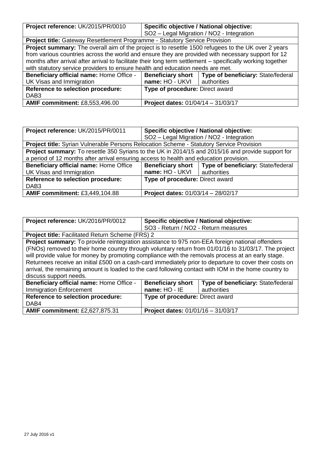| Project reference: UK/2015/PR/0010                                                                         | Specific objective / National objective:                                                                    |                                    |  |
|------------------------------------------------------------------------------------------------------------|-------------------------------------------------------------------------------------------------------------|------------------------------------|--|
|                                                                                                            | SO2 - Legal Migration / NO2 - Integration                                                                   |                                    |  |
| <b>Project title:</b> Gateway Resettlement Programme - Statutory Service Provision                         |                                                                                                             |                                    |  |
| <b>Project summary:</b> The overall aim of the project is to resettle 1500 refugees to the UK over 2 years |                                                                                                             |                                    |  |
| from various countries across the world and ensure they are provided with necessary support for 12         |                                                                                                             |                                    |  |
|                                                                                                            | months after arrival after arrival to facilitate their long term settlement - specifically working together |                                    |  |
| with statutory service providers to ensure health and education needs are met.                             |                                                                                                             |                                    |  |
| Beneficiary official name: Home Office -                                                                   | <b>Beneficiary short</b>                                                                                    | Type of beneficiary: State/federal |  |
| UK Visas and Immigration                                                                                   | $name: HO - UKVI$   authorities                                                                             |                                    |  |
| Reference to selection procedure:                                                                          | Type of procedure: Direct award                                                                             |                                    |  |
| DAB <sub>3</sub>                                                                                           |                                                                                                             |                                    |  |
| <b>AMIF commitment: £8,553,496.00</b>                                                                      | Project dates: 01/04/14 - 31/03/17                                                                          |                                    |  |

| Project reference: UK/2015/PR/0011     | Specific objective / National objective:                                                                 |                                                        |  |
|----------------------------------------|----------------------------------------------------------------------------------------------------------|--------------------------------------------------------|--|
|                                        | SO2 - Legal Migration / NO2 - Integration                                                                |                                                        |  |
|                                        | Project title: Syrian Vulnerable Persons Relocation Scheme - Statutory Service Provision                 |                                                        |  |
|                                        | <b>Project summary:</b> To resettle 350 Syrians to the UK in 2014/15 and 2015/16 and provide support for |                                                        |  |
|                                        | a period of 12 months after arrival ensuring access to health and education provision.                   |                                                        |  |
| Beneficiary official name: Home Office |                                                                                                          | Beneficiary short   Type of beneficiary: State/federal |  |
| UK Visas and Immigration               | name: HO - UKVI                                                                                          | authorities                                            |  |
| Reference to selection procedure:      | Type of procedure: Direct award                                                                          |                                                        |  |
| DAB <sub>3</sub>                       |                                                                                                          |                                                        |  |
| <b>AMIF commitment: £3,449,104.88</b>  | Project dates: 01/03/14 - 28/02/17                                                                       |                                                        |  |

| Project reference: UK/2016/PR/0012                                                                      | Specific objective / National objective:                                                              |                                    |  |
|---------------------------------------------------------------------------------------------------------|-------------------------------------------------------------------------------------------------------|------------------------------------|--|
|                                                                                                         | SO3 - Return / NO2 - Return measures                                                                  |                                    |  |
| <b>Project title: Facilitated Return Scheme (FRS) 2</b>                                                 |                                                                                                       |                                    |  |
|                                                                                                         | <b>Project summary:</b> To provide reintegration assistance to 975 non-EEA foreign national offenders |                                    |  |
| (FNOs) removed to their home country through voluntary return from 01/01/16 to 31/03/17. The project    |                                                                                                       |                                    |  |
| will provide value for money by promoting compliance with the removals process at an early stage.       |                                                                                                       |                                    |  |
| Returnees receive an initial £500 on a cash-card immediately prior to departure to cover their costs on |                                                                                                       |                                    |  |
| arrival, the remaining amount is loaded to the card following contact with IOM in the home country to   |                                                                                                       |                                    |  |
| discuss support needs.                                                                                  |                                                                                                       |                                    |  |
| Beneficiary official name: Home Office -                                                                | <b>Beneficiary short</b>                                                                              | Type of beneficiary: State/federal |  |
| <b>Immigration Enforcement</b>                                                                          | name: HO - IE                                                                                         | authorities                        |  |
| <b>Reference to selection procedure:</b>                                                                | Type of procedure: Direct award                                                                       |                                    |  |
| DAB4                                                                                                    |                                                                                                       |                                    |  |
| <b>AMIF commitment: £2,627,875.31</b>                                                                   | Project dates: 01/01/16 - 31/03/17                                                                    |                                    |  |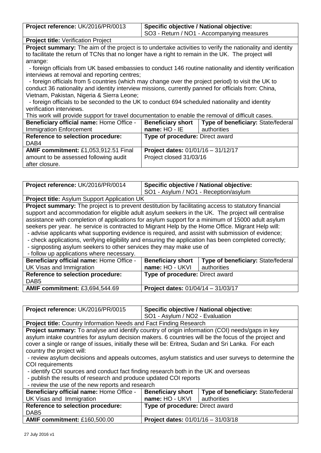| Project reference: UK/2016/PR/0013                                                                               | Specific objective / National objective:  |                                            |
|------------------------------------------------------------------------------------------------------------------|-------------------------------------------|--------------------------------------------|
|                                                                                                                  |                                           | SO3 - Return / NO1 - Accompanying measures |
| <b>Project title: Verification Project</b>                                                                       |                                           |                                            |
| <b>Project summary:</b> The aim of the project is to undertake activities to verify the nationality and identity |                                           |                                            |
| to facilitate the return of TCNs that no longer have a right to remain in the UK. The project will               |                                           |                                            |
| arrange:                                                                                                         |                                           |                                            |
| - foreign officials from UK based embassies to conduct 146 routine nationality and identity verification         |                                           |                                            |
| interviews at removal and reporting centres;                                                                     |                                           |                                            |
| - foreign officials from 5 countries (which may change over the project period) to visit the UK to               |                                           |                                            |
| conduct 36 nationality and identity interview missions, currently panned for officials from: China,              |                                           |                                            |
| Vietnam, Pakistan, Nigeria & Sierra Leone;                                                                       |                                           |                                            |
| - foreign officials to be seconded to the UK to conduct 694 scheduled nationality and identity                   |                                           |                                            |
| verification interviews.                                                                                         |                                           |                                            |
| This work will provide support for travel documentation to enable the removal of difficult cases.                |                                           |                                            |
| Beneficiary official name: Home Office -                                                                         | <b>Beneficiary short</b>                  | Type of beneficiary: State/federal         |
| <b>Immigration Enforcement</b>                                                                                   | name: HO - IE                             | authorities                                |
| Type of procedure: Direct award<br>Reference to selection procedure:                                             |                                           |                                            |
| DAB4                                                                                                             |                                           |                                            |
| <b>AMIF commitment: £1,053,912.51 Final</b>                                                                      | <b>Project dates: 01/01/16 - 31/12/17</b> |                                            |
| amount to be assessed following audit                                                                            | Project closed 31/03/16                   |                                            |
| after closure.                                                                                                   |                                           |                                            |

| Project reference: UK/2016/PR/0014                                                                 | Specific objective / National objective:                                                                    |                                    |  |
|----------------------------------------------------------------------------------------------------|-------------------------------------------------------------------------------------------------------------|------------------------------------|--|
|                                                                                                    | SO1 - Asylum / NO1 - Reception/asylum                                                                       |                                    |  |
|                                                                                                    | <b>Project title:</b> Asylum Support Application UK                                                         |                                    |  |
|                                                                                                    | <b>Project summary:</b> The project is to prevent destitution by facilitating access to statutory financial |                                    |  |
| support and accommodation for eligible adult asylum seekers in the UK. The project will centralise |                                                                                                             |                                    |  |
| assistance with completion of applications for asylum support for a minimum of 15000 adult asylum  |                                                                                                             |                                    |  |
| seekers per year. he service is contracted to Migrant Help by the Home Office. Migrant Help will:  |                                                                                                             |                                    |  |
| - advise applicants what supporting evidence is required, and assist with submission of evidence;  |                                                                                                             |                                    |  |
|                                                                                                    | - check applications, verifying eligibility and ensuring the application has been completed correctly;      |                                    |  |
| - signposting asylum seekers to other services they may make use of                                |                                                                                                             |                                    |  |
| - follow up applications where necessary.                                                          |                                                                                                             |                                    |  |
| Beneficiary official name: Home Office -                                                           | <b>Beneficiary short</b>                                                                                    | Type of beneficiary: State/federal |  |
| UK Visas and Immigration                                                                           | name: HO - UKVI                                                                                             | authorities                        |  |
| Reference to selection procedure:                                                                  | Type of procedure: Direct award                                                                             |                                    |  |
| DAB <sub>5</sub>                                                                                   |                                                                                                             |                                    |  |
| <b>AMIF commitment: £3,694,544.69</b>                                                              | Project dates: 01/04/14 - 31/03/17                                                                          |                                    |  |

| Project reference: UK/2016/PR/0015                                                                    | Specific objective / National objective: |                                    |
|-------------------------------------------------------------------------------------------------------|------------------------------------------|------------------------------------|
|                                                                                                       | SO1 - Asylum / NO2 - Evaluation          |                                    |
| Project title: Country Information Needs and Fact Finding Research                                    |                                          |                                    |
| <b>Project summary:</b> To analyse and identify country of origin information (COI) needs/gaps in key |                                          |                                    |
| asylum intake countries for asylum decision makers. 6 countries will be the focus of the project and  |                                          |                                    |
| cover a single or range of issues, initially these will be: Eritrea, Sudan and Sri Lanka. For each    |                                          |                                    |
| country the project will:                                                                             |                                          |                                    |
| - review asylum decisions and appeals outcomes, asylum statistics and user surveys to determine the   |                                          |                                    |
| <b>COI</b> requirements                                                                               |                                          |                                    |
| - identify COI sources and conduct fact finding research both in the UK and overseas                  |                                          |                                    |
| - publish the results of research and produce updated COI reports                                     |                                          |                                    |
| - review the use of the new reports and research                                                      |                                          |                                    |
| Beneficiary official name: Home Office -                                                              | <b>Beneficiary short</b>                 | Type of beneficiary: State/federal |
| UK Visas and Immigration                                                                              | name: HO - UKVI                          | authorities                        |
| Peference to celection procedure:                                                                     | Tung of procedure: Direct award          |                                    |

| <b>Deligitually Unividental Partie.</b> Home University | <b>PUILDING AND A SHOLL</b>            | <b>I</b> ype of belieffedd y. Oldic/Icucial |
|---------------------------------------------------------|----------------------------------------|---------------------------------------------|
| UK Visas and Immigration                                | name: HO - UKVI                        | authorities                                 |
| Reference to selection procedure:                       | <b>Type of procedure: Direct award</b> |                                             |
| DAB <sub>5</sub>                                        |                                        |                                             |
| <b>AMIF commitment: £160,500.00</b>                     | Project dates: $01/01/16 - 31/03/18$   |                                             |
|                                                         |                                        |                                             |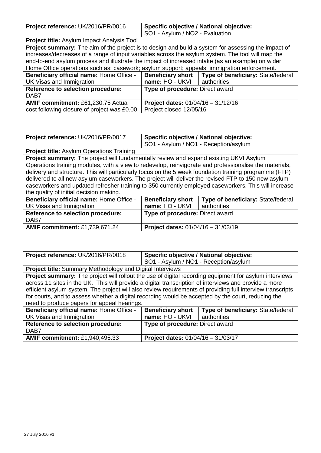| Project reference: UK/2016/PR/0016                                                                         | Specific objective / National objective:                                                         |                                    |  |
|------------------------------------------------------------------------------------------------------------|--------------------------------------------------------------------------------------------------|------------------------------------|--|
|                                                                                                            | SO1 - Asylum / NO2 - Evaluation                                                                  |                                    |  |
| <b>Project title: Asylum Impact Analysis Tool</b>                                                          |                                                                                                  |                                    |  |
| <b>Project summary:</b> The aim of the project is to design and build a system for assessing the impact of |                                                                                                  |                                    |  |
| increases/decreases of a range of input variables across the asylum system. The tool will map the          |                                                                                                  |                                    |  |
|                                                                                                            | end-to-end asylum process and illustrate the impact of increased intake (as an example) on wider |                                    |  |
| Home Office operations such as: casework; asylum support; appeals; immigration enforcement.                |                                                                                                  |                                    |  |
| Beneficiary official name: Home Office -                                                                   | <b>Beneficiary short</b>                                                                         | Type of beneficiary: State/federal |  |
| UK Visas and Immigration                                                                                   | <b>name:</b> HO - UKVI authorities                                                               |                                    |  |
| Reference to selection procedure:                                                                          | Type of procedure: Direct award                                                                  |                                    |  |
| DAB7                                                                                                       |                                                                                                  |                                    |  |
| AMIF commitment: £61,230.75 Actual                                                                         | <b>Project dates: <math>01/04/16 - 31/12/16</math></b>                                           |                                    |  |
| cost following closure of project was £0.00                                                                | Project closed 12/05/16                                                                          |                                    |  |

| Project reference: UK/2016/PR/0017                                                                     | Specific objective / National objective:                                                            |                                    |  |
|--------------------------------------------------------------------------------------------------------|-----------------------------------------------------------------------------------------------------|------------------------------------|--|
|                                                                                                        | SO1 - Asylum / NO1 - Reception/asylum                                                               |                                    |  |
| <b>Project title: Asylum Operations Training</b>                                                       |                                                                                                     |                                    |  |
|                                                                                                        | Project summary: The project will fundamentally review and expand existing UKVI Asylum              |                                    |  |
| Operations training modules, with a view to redevelop, reinvigorate and professionalise the materials, |                                                                                                     |                                    |  |
| delivery and structure. This will particularly focus on the 5 week foundation training programme (FTP) |                                                                                                     |                                    |  |
|                                                                                                        | delivered to all new asylum caseworkers. The project will deliver the revised FTP to 150 new asylum |                                    |  |
| caseworkers and updated refresher training to 350 currently employed caseworkers. This will increase   |                                                                                                     |                                    |  |
| the quality of initial decision making.                                                                |                                                                                                     |                                    |  |
| Beneficiary official name: Home Office -                                                               | <b>Beneficiary short</b>                                                                            | Type of beneficiary: State/federal |  |
| UK Visas and Immigration                                                                               | name: HO - UKVI                                                                                     | authorities                        |  |
| Reference to selection procedure:                                                                      | Type of procedure: Direct award                                                                     |                                    |  |
| DAB7                                                                                                   |                                                                                                     |                                    |  |
| <b>AMIF commitment: £1,739,671.24</b>                                                                  | <b>Project dates: 01/04/16 - 31/03/19</b>                                                           |                                    |  |

| Project reference: UK/2016/PR/0018                                                                    | Specific objective / National objective:                                                                   |                                    |  |
|-------------------------------------------------------------------------------------------------------|------------------------------------------------------------------------------------------------------------|------------------------------------|--|
|                                                                                                       | SO1 - Asylum / NO1 - Reception/asylum                                                                      |                                    |  |
| <b>Project title:</b> Summary Methodology and Digital Interviews                                      |                                                                                                            |                                    |  |
|                                                                                                       | Project summary: The project will rollout the use of digital recording equipment for asylum interviews     |                                    |  |
| across 11 sites in the UK. This will provide a digital transcription of interviews and provide a more |                                                                                                            |                                    |  |
|                                                                                                       | efficient asylum system. The project will also review requirements of providing full interview transcripts |                                    |  |
| for courts, and to assess whether a digital recording would be accepted by the court, reducing the    |                                                                                                            |                                    |  |
| need to produce papers for appeal hearings.                                                           |                                                                                                            |                                    |  |
| Beneficiary official name: Home Office -                                                              | <b>Beneficiary short</b>                                                                                   | Type of beneficiary: State/federal |  |
| UK Visas and Immigration                                                                              | name: HO - UKVI                                                                                            | authorities                        |  |
| Reference to selection procedure:                                                                     | Type of procedure: Direct award                                                                            |                                    |  |
| DAB7                                                                                                  |                                                                                                            |                                    |  |
| <b>AMIF commitment: £1,940,495.33</b>                                                                 | <b>Project dates: 01/04/16 - 31/03/17</b>                                                                  |                                    |  |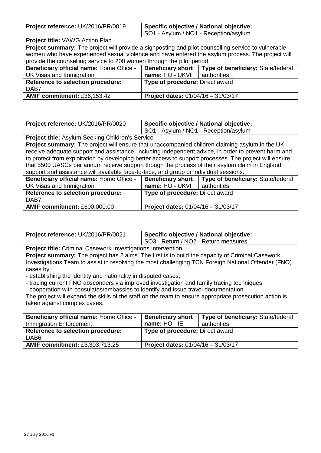| Project reference: UK/2016/PR/0019                                                                  | Specific objective / National objective:                                                         |                                    |  |
|-----------------------------------------------------------------------------------------------------|--------------------------------------------------------------------------------------------------|------------------------------------|--|
|                                                                                                     | SO1 - Asylum / NO1 - Reception/asylum                                                            |                                    |  |
| <b>Project title: VAWG Action Plan</b>                                                              |                                                                                                  |                                    |  |
| Project summary: The project will provide a signposting and pilot counselling service to vulnerable |                                                                                                  |                                    |  |
|                                                                                                     | women who have experienced sexual violence and have entered the asylum process. The project will |                                    |  |
| provide the counselling service to 200 women through the pilot period.                              |                                                                                                  |                                    |  |
| Beneficiary official name: Home Office -                                                            | <b>Beneficiary short</b>                                                                         | Type of beneficiary: State/federal |  |
| UK Visas and Immigration                                                                            | name: HO - UKVI                                                                                  | authorities                        |  |
| Reference to selection procedure:                                                                   | Type of procedure: Direct award                                                                  |                                    |  |
| DAB7                                                                                                |                                                                                                  |                                    |  |
| AMIF commitment: £36,153.42                                                                         | Project dates: 01/04/16 - 31/03/17                                                               |                                    |  |

| Project reference: UK/2016/PR/0020                                                                                   | Specific objective / National objective:<br>SO1 - Asylum / NO1 - Reception/asylum |  |
|----------------------------------------------------------------------------------------------------------------------|-----------------------------------------------------------------------------------|--|
| <b>Project title: Asylum Seeking Children's Service</b>                                                              |                                                                                   |  |
| Das best expresses on the construction of exercise the transportant of the distribution of the continuation that HIZ |                                                                                   |  |

**Project summary:** The project will ensure that unaccompanied children claiming asylum in the UK receive adequate support and assistance, including independent advice, in order to prevent harm and to protect from exploitation by developing better access to support processes. The project will ensure that 5500 UASCs per annum receive support though the process of their asylum claim in England, support and assistance will available face-to-face, and group or individual sessions.

| <u>a a la la componenta de la componenta de la contra disponenta de la componenta de la componenta de la componenta</u> |                                           |                                    |
|-------------------------------------------------------------------------------------------------------------------------|-------------------------------------------|------------------------------------|
| Beneficiary official name: Home Office -                                                                                | <b>Beneficiary short</b>                  | Type of beneficiary: State/federal |
| UK Visas and Immigration                                                                                                | name: HO - UKVI                           | l authorities                      |
| Reference to selection procedure:                                                                                       | <b>Type of procedure: Direct award</b>    |                                    |
| DAB7                                                                                                                    |                                           |                                    |
| <b>AMIF commitment: £600,000.00</b>                                                                                     | <b>Project dates: 01/04/16 - 31/03/17</b> |                                    |
|                                                                                                                         |                                           |                                    |

| Project reference: UK/2016/PR/0021                                                                      | Specific objective / National objective: |                                           |
|---------------------------------------------------------------------------------------------------------|------------------------------------------|-------------------------------------------|
|                                                                                                         | SO3 - Return / NO2 - Return measures     |                                           |
| <b>Project title:</b> Criminal Casework Investigations Intervention                                     |                                          |                                           |
| <b>Project summary:</b> The project has 2 aims. The first is to build the capacity of Criminal Casework |                                          |                                           |
| Investigations Team to assist in resolving the most challenging TCN Foreign National Offender (FNO)     |                                          |                                           |
| cases by:                                                                                               |                                          |                                           |
| - establishing the identity and nationality in disputed cases;                                          |                                          |                                           |
| - tracing current FNO absconders via improved investigation and family tracing techniques               |                                          |                                           |
| - cooperation with consulates/embassies to identify and issue travel documentation                      |                                          |                                           |
| The project will expand the skills of the staff on the team to ensure appropriate prosecution action is |                                          |                                           |
| taken against complex cases.                                                                            |                                          |                                           |
|                                                                                                         |                                          |                                           |
| <b>Beneficiary official name: Home Office -</b>                                                         | <b>Beneficiary short</b>                 | <b>Type of beneficiary: State/federal</b> |

| Beneficiary official name: Home Office - | <b>Beneficiary short</b>                  | Type of beneficiary: State/federal |
|------------------------------------------|-------------------------------------------|------------------------------------|
| Immigration Enforcement                  | name: $HO - IE$                           | authorities                        |
| Reference to selection procedure:        | <b>Type of procedure: Direct award</b>    |                                    |
| DAB <sub>6</sub>                         |                                           |                                    |
| <b>AMIF commitment: £3,303,713.25</b>    | <b>Project dates: 01/04/16 - 31/03/17</b> |                                    |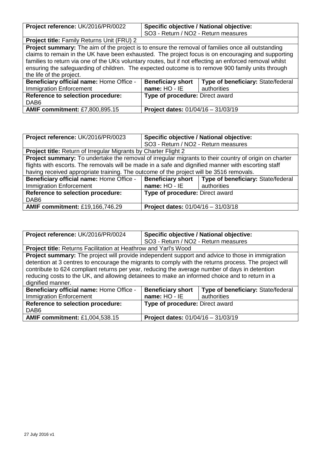| Project reference: UK/2016/PR/0022                                                                       | Specific objective / National objective:  |                                    |
|----------------------------------------------------------------------------------------------------------|-------------------------------------------|------------------------------------|
|                                                                                                          | SO3 - Return / NO2 - Return measures      |                                    |
| <b>Project title:</b> Family Returns Unit (FRU) 2                                                        |                                           |                                    |
| <b>Project summary:</b> The aim of the project is to ensure the removal of families once all outstanding |                                           |                                    |
| claims to remain in the UK have been exhausted. The project focus is on encouraging and supporting       |                                           |                                    |
| families to return via one of the UKs voluntary routes, but if not effecting an enforced removal whilst  |                                           |                                    |
| ensuring the safeguarding of children. The expected outcome is to remove 900 family units through        |                                           |                                    |
| the life of the project.                                                                                 |                                           |                                    |
| Beneficiary official name: Home Office -                                                                 | <b>Beneficiary short</b>                  | Type of beneficiary: State/federal |
| <b>Immigration Enforcement</b>                                                                           | name: HO - IE                             | authorities                        |
| Reference to selection procedure:                                                                        | Type of procedure: Direct award           |                                    |
| DAB <sub>6</sub>                                                                                         |                                           |                                    |
| <b>AMIF commitment: £7,800,895.15</b>                                                                    | <b>Project dates: 01/04/16 - 31/03/19</b> |                                    |

| Project reference: UK/2016/PR/0023                                                                    | Specific objective / National objective:  |                                    |  |
|-------------------------------------------------------------------------------------------------------|-------------------------------------------|------------------------------------|--|
|                                                                                                       | SO3 - Return / NO2 - Return measures      |                                    |  |
| <b>Project title:</b> Return of Irregular Migrants by Charter Flight 2                                |                                           |                                    |  |
| Project summary: To undertake the removal of irregular migrants to their country of origin on charter |                                           |                                    |  |
| flights with escorts. The removals will be made in a safe and dignified manner with escorting staff   |                                           |                                    |  |
| having received appropriate training. The outcome of the project will be 3516 removals.               |                                           |                                    |  |
| Beneficiary official name: Home Office -                                                              | <b>Beneficiary short</b>                  | Type of beneficiary: State/federal |  |
| <b>Immigration Enforcement</b>                                                                        | name: $HO - IE$                           | authorities                        |  |
| <b>Reference to selection procedure:</b>                                                              | Type of procedure: Direct award           |                                    |  |
| DAB <sub>6</sub>                                                                                      |                                           |                                    |  |
| <b>AMIF commitment: £19,166,746.29</b>                                                                | <b>Project dates: 01/04/16 - 31/03/18</b> |                                    |  |

| Project reference: UK/2016/PR/0024                                                                                                                                                                                                                                                                                                                                                                                                        | Specific objective / National objective:               |                                                   |  |
|-------------------------------------------------------------------------------------------------------------------------------------------------------------------------------------------------------------------------------------------------------------------------------------------------------------------------------------------------------------------------------------------------------------------------------------------|--------------------------------------------------------|---------------------------------------------------|--|
| <b>Project title: Returns Facilitation at Heathrow and Yarl's Wood</b>                                                                                                                                                                                                                                                                                                                                                                    | SO3 - Return / NO2 - Return measures                   |                                                   |  |
| <b>Project summary:</b> The project will provide independent support and advice to those in immigration<br>detention at 3 centres to encourage the migrants to comply with the returns process. The project will<br>contribute to 624 compliant returns per year, reducing the average number of days in detention<br>reducing costs to the UK, and allowing detainees to make an informed choice and to return in a<br>dignified manner. |                                                        |                                                   |  |
| Beneficiary official name: Home Office -<br><b>Immigration Enforcement</b>                                                                                                                                                                                                                                                                                                                                                                | <b>Beneficiary short</b><br>name: HO - IE              | Type of beneficiary: State/federal<br>authorities |  |
| <b>Reference to selection procedure:</b>                                                                                                                                                                                                                                                                                                                                                                                                  | Type of procedure: Direct award                        |                                                   |  |
| DAB <sub>6</sub>                                                                                                                                                                                                                                                                                                                                                                                                                          |                                                        |                                                   |  |
| <b>AMIF commitment: £1,004,538.15</b>                                                                                                                                                                                                                                                                                                                                                                                                     | <b>Project dates: <math>01/04/16 - 31/03/19</math></b> |                                                   |  |